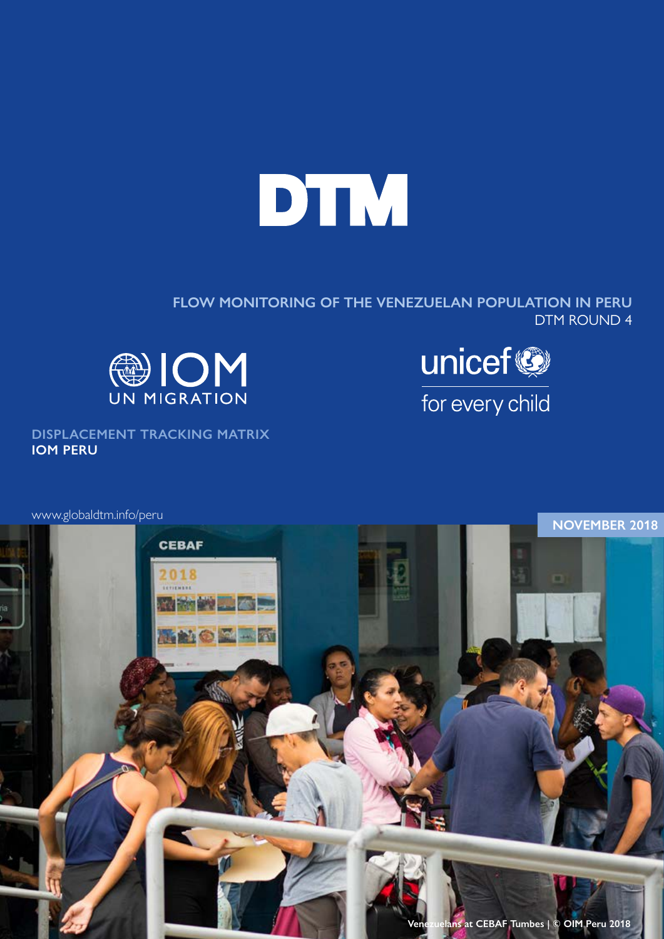

**FLOW MONITORING OF THE VENEZUELAN POPULATION IN PERU**  DTM ROUND 4



unicef® for every child

**DISPLACEMENT TRACKING MATRIX IOM PERU**

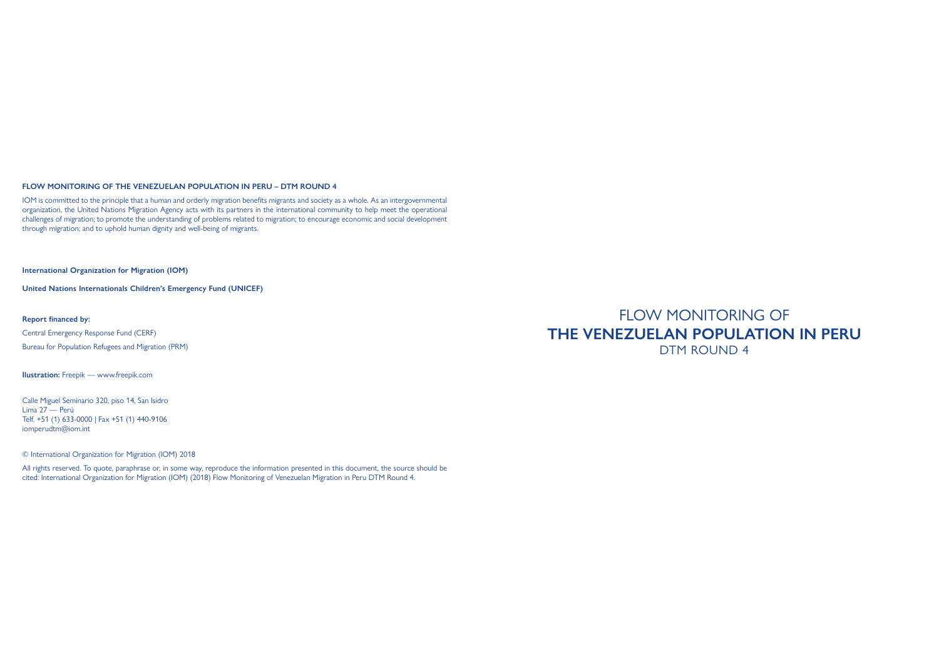### **FLOW MONITORING OF THE VENEZUELAN POPULATION IN PERU – DTM ROUND 4**

IOM is committed to the principle that a human and orderly migration benefits migrants and society as a whole. As an intergovernmental organization, the United Nations Migration Agency acts with its partners in the international community to help meet the operational challenges of migration; to promote the understanding of problems related to migration; to encourage economic and social development through migration; and to uphold human dignity and well-being of migrants.

**International Organization for Migration (IOM)**

**United Nations Internationals Children's Emergency Fund (UNICEF)**

**Report financed by:**

Central Emergency Response Fund (CERF) Bureau for Population Refugees and Migration (PRM)

**Ilustration:** Freepik — www.freepik.com

Calle Miguel Seminario 320, piso 14, San Isidro Lima 27 — Perú Telf. +51 (1) 633-0000 | Fax +51 (1) 440-9106 iomperudtm@iom.int

© International Organization for Migration (IOM) 2018

All rights reserved. To quote, paraphrase or, in some way, reproduce the information presented in this document, the source should be cited: International Organization for Migration (IOM) (2018) Flow Monitoring of Venezuelan Migration in Peru DTM Round 4.

FLOW MONITORING OF **THE VENEZUELAN POPULATION IN PERU**  DTM ROUND 4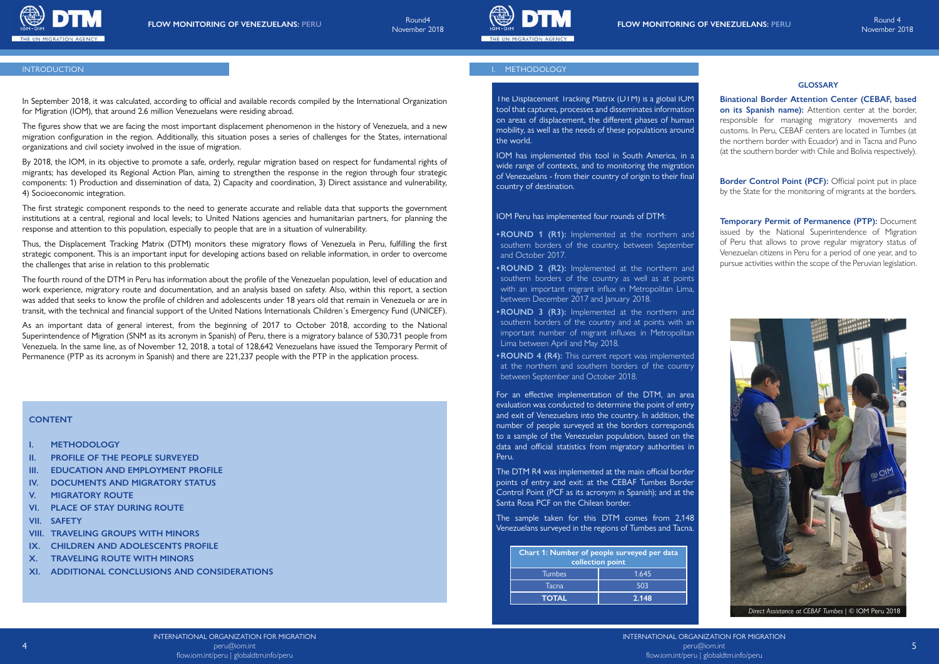

INTERNATIONAL ORGANIZATION FOR MIGRATION flow.iom.int/peru | globaldtm.info/peru





In September 2018, it was calculated, according to official and available records compiled by the International Organization for Migration (IOM), that around 2.6 million Venezuelans were residing abroad.

The figures show that we are facing the most important displacement phenomenon in the history of Venezuela, and a new migration configuration in the region. Additionally, this situation poses a series of challenges for the States, international organizations and civil society involved in the issue of migration.

By 2018, the IOM, in its objective to promote a safe, orderly, regular migration based on respect for fundamental rights of migrants; has developed its Regional Action Plan, aiming to strengthen the response in the region through four strategic components: 1) Production and dissemination of data, 2) Capacity and coordination, 3) Direct assistance and vulnerability, 4) Socioeconomic integration.

The first strategic component responds to the need to generate accurate and reliable data that supports the government institutions at a central, regional and local levels; to United Nations agencies and humanitarian partners, for planning the response and attention to this population, especially to people that are in a situation of vulnerability.

**Border Control Point (PCF):** Official point put in place by the State for the monitoring of migrants at the borders.

Thus, the Displacement Tracking Matrix (DTM) monitors these migratory flows of Venezuela in Peru, fulfilling the first strategic component. This is an important input for developing actions based on reliable information, in order to overcome the challenges that arise in relation to this problematic

The fourth round of the DTM in Peru has information about the profile of the Venezuelan population, level of education and work experience, migratory route and documentation, and an analysis based on safety. Also, within this report, a section was added that seeks to know the profile of children and adolescents under 18 years old that remain in Venezuela or are in transit, with the technical and financial support of the United Nations Internationals Children´s Emergency Fund (UNICEF).

As an important data of general interest, from the beginning of 2017 to October 2018, according to the National Superintendence of Migration (SNM as its acronym in Spanish) of Peru, there is a migratory balance of 530,731 people from Venezuela. In the same line, as of November 12, 2018, a total of 128,642 Venezuelans have issued the Temporary Permit of Permanence (PTP as its acronym in Spanish) and there are 221,237 people with the PTP in the application process.

**Binational Border Attention Center (CEBAF, based on its Spanish name):** Attention center at the border, responsible for managing migratory movements and customs. In Peru, CEBAF centers are located in Tumbes (at the northern border with Ecuador) and in Tacna and Puno (at the southern border with Chile and Bolivia respectively).

**Temporary Permit of Permanence (PTP):** Document issued by the National Superintendence of Migration of Peru that allows to prove regular migratory status of Venezuelan citizens in Peru for a period of one year, and to pursue activities within the scope of the Peruvian legislation.



The Displacement Tracking Matrix (DTM) is a global IOM tool that captures, processes and disseminates information on areas of displacement, the different phases of human mobility, as well as the needs of these populations around the world.

IOM has implemented this tool in South America, in a wide range of contexts, and to monitoring the migration of Venezuelans - from their country of origin to their final country of destination.

#### IOM Peru has implemented four rounds of DTM:

- **•ROUND 1 (R1):** Implemented at the northern and southern borders of the country, between September and October 2017.
- **•ROUND 2 (R2):** Implemented at the northern and southern borders of the country as well as at points with an important migrant influx in Metropolitan Lima, between December 2017 and January 2018.
- **•ROUND 3 (R3):** Implemented at the northern and southern borders of the country and at points with an important number of migrant influxes in Metropolitan Lima between April and May 2018.
- **•ROUND 4 (R4):** This current report was implemented at the northern and southern borders of the country between September and October 2018.

For an effective implementation of the DTM, an area evaluation was conducted to determine the point of entry and exit of Venezuelans into the country. In addition, the number of people surveyed at the borders corresponds to a sample of the Venezuelan population, based on the data and official statistics from migratory authorities in Peru.

The DTM R4 was implemented at the main official border points of entry and exit: at the CEBAF Tumbes Border Control Point (PCF as its acronym in Spanish); and at the Santa Rosa PCF on the Chilean border.

The sample taken for this DTM comes from 2,148 Venezuelans surveyed in the regions of Tumbes and Tacna.

| Chart 1: Number of people surveyed per data<br>collection point |       |
|-----------------------------------------------------------------|-------|
| <b>Tumbes</b>                                                   | 1.645 |
| Tacna                                                           | 503   |
| <b>TOTAL</b>                                                    | 2.148 |

# **GLOSSARY**

# **CONTENT**

- **I. METHODOLOGY**
- **II. PROFILE OF THE PEOPLE SURVEYED**
- **III. EDUCATION AND EMPLOYMENT PROFILE**
- **IV. DOCUMENTS AND MIGRATORY STATUS**
- **V. MIGRATORY ROUTE**
- **VI. PLACE OF STAY DURING ROUTE**
- **VII. SAFETY**
- **VIII. TRAVELING GROUPS WITH MINORS**
- **IX. CHILDREN AND ADOLESCENTS PROFILE**
- **X. TRAVELING ROUTE WITH MINORS**
- **XI. ADDITIONAL CONCLUSIONS AND CONSIDERATIONS**

# INTRODUCTION **I.** METHODOLOGY **I. METHODOLOGY**

 *Direct Assistance at CEBAF Tumbes* | © IOM Peru 2018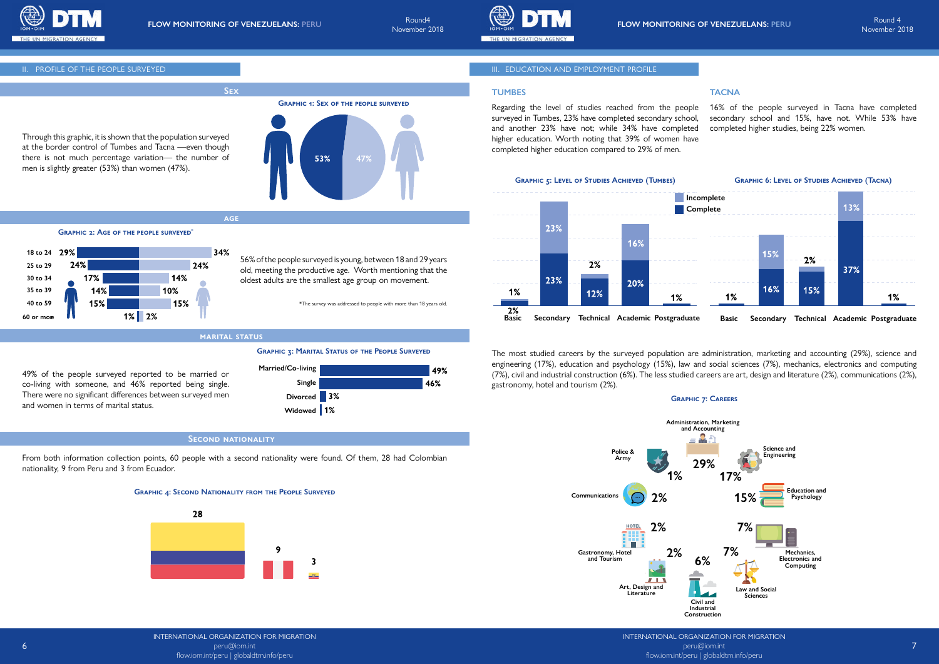

INTERNATIONAL ORGANIZATION FOR MIGRATION flow.iom.int/peru | globaldtm.info/peru

INTERNATIONAL ORGANIZATION FOR MIGRATION peru@iom.int

November 2018



Through this graphic, it is shown that the population surveyed at the border control of Tumbes and Tacna —even though there is not much percentage variation— the number of men is slightly greater (53%) than women (47%).

**Sex**

**marital status**

**age**

# **Second nationality**

56% of the people surveyed is young, between 18 and 29 years old, meeting the productive age. Worth mentioning that the

oldest adults are the smallest age group on movement.

\*The survey was addressed to people with more than 18 years old.

49% of the people surveyed reported to be married or co-living with someone, and 46% reported being single. There were no significant differences between surveyed men

and women in terms of marital status.

From both information collection points, 60 people with a second nationality were found. Of them, 28 had Colombian nationality, 9 from Peru and 3 from Ecuador.

# **TUMBES**

Regarding the level of studies reached from the people surveyed in Tumbes, 23% have completed secondary school, and another 23% have not; while 34% have completed higher education. Worth noting that 39% of women have completed higher education compared to 29% of men. 16% of the people surveyed in Tacna have completed secondary school and 15%, have not. While 53% have completed higher studies, being 22% women.

# **TACNA**

The most studied careers by the surveyed population are administration, marketing and accounting (29%), science and engineering (17%), education and psychology (15%), law and social sciences (7%), mechanics, electronics and computing (7%), civil and industrial construction (6%). The less studied careers are art, design and literature (2%), communications (2%), gastronomy, hotel and tourism (2%).



**GRAPHIC 2: AGE OF THE PEOPLE SURVEYED<sup>\*</sup>** 



**Graphic 3: Marital Status of the People Surveyed**

### **Graphic 4: Second Nationality from the People Surveyed**



# III. PROFILE OF THE PEOPLE SURVEYED AND AND EMPLOYMENT PROFILE

# **Graphic 7: Careers**





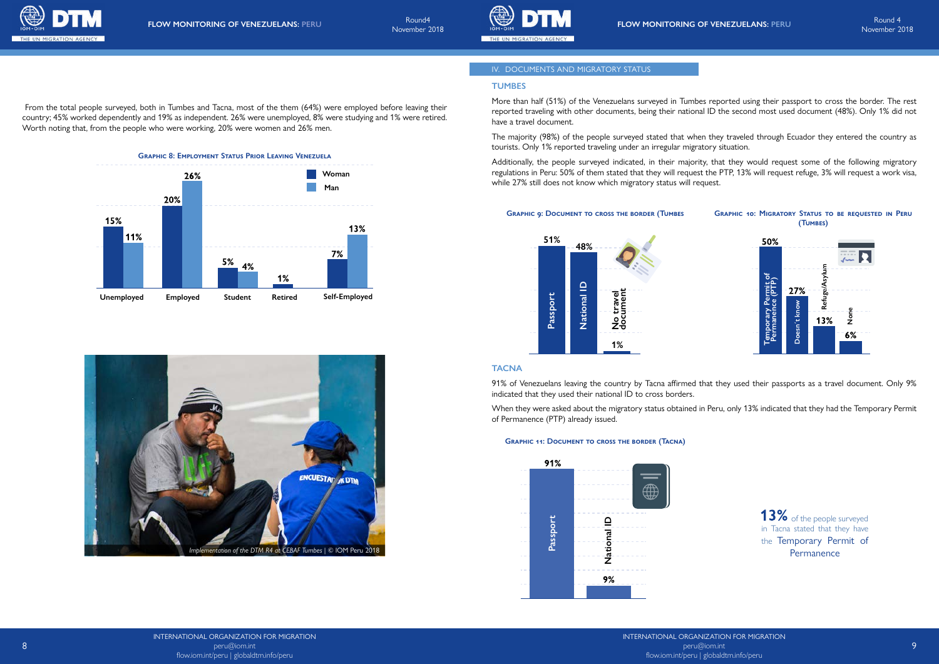



# IV. DOCUMENTS AND MIGRATORY STATUS

# **TUMBES**

More than half (51%) of the Venezuelans surveyed in Tumbes reported using their passport to cross the border. The rest reported traveling with other documents, being their national ID the second most used document (48%). Only 1% did not have a travel document.

The majority (98%) of the people surveyed stated that when they traveled through Ecuador they entered the country as tourists. Only 1% reported traveling under an irregular migratory situation.

Additionally, the people surveyed indicated, in their majority, that they would request some of the following migratory regulations in Peru: 50% of them stated that they will request the PTP, 13% will request refuge, 3% will request a work visa, while 27% still does not know which migratory status will request.

# **TACNA**

13% of the people surveyed in Tacna stated that they have the Temporary Permit of Permanence

91% of Venezuelans leaving the country by Tacna affirmed that they used their passports as a travel document. Only 9% indicated that they used their national ID to cross borders. When they were asked about the migratory status obtained in Peru, only 13% indicated that they had the Temporary Permit

of Permanence (PTP) already issued.

#### **Graphic 9: Document to cross the border (Tumbes**

## **Graphic 11: Document to cross the border (Tacna)**

# **Graphic 10: Migratory Status to be requested in Peru (Tumbes)**



 From the total people surveyed, both in Tumbes and Tacna, most of the them (64%) were employed before leaving their country; 45% worked dependently and 19% as independent. 26% were unemployed, 8% were studying and 1% were retired. Worth noting that, from the people who were working, 20% were women and 26% men.







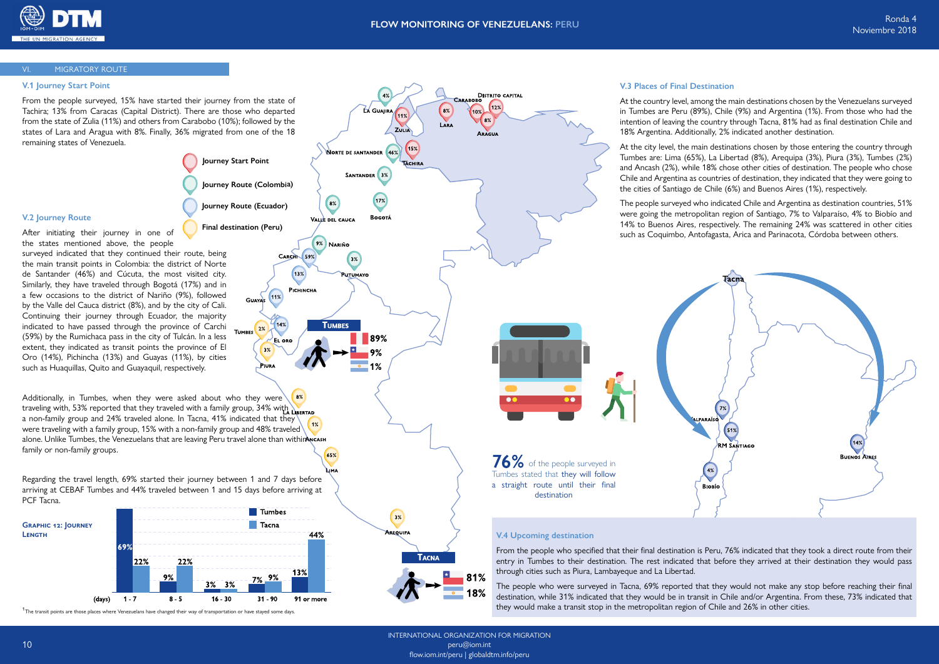

INTERNATIONAL ORGANIZATION FOR MIGRATION peru@iom.int flow.iom.int/peru | globaldtm.info/peru

18%

# **V.1 Journey Start Point**

From the people surveyed, 15% have started their journey from the state of Tachira; 13% from Caracas (Capital District). There are those who departed from the state of Zulia (11%) and others from Carabobo (10%); followed by the states of Lara and Aragua with 8%. Finally, 36% migrated from one of the 18 remaining states of Venezuela.

# **V.2 Journey Route**

After initiating their journey in one of the states mentioned above, the people surveyed indicated that they continued their route, being the main transit points in Colombia: the district of Norte de Santander (46%) and Cúcuta, the most visited city. Similarly, they have traveled through Bogotá (17%) and in a few occasions to the district of Nariño (9%), followed by the Valle del Cauca district (8%), and by the city of Cali. Continuing their journey through Ecuador, the majority indicated to have passed through the province of Carchi (59%) by the Rumichaca pass in the city of Tulcán. In a less extent, they indicated as transit points the province of El Oro (14%), Pichincha (13%) and Guayas (11%), by cities such as Huaquillas, Quito and Guayaquil, respectively.

Additionally, in Tumbes, when they were asked about who they were traveling with, 53% reported that they traveled with a family group, 34% with LIBERTAD a non-family group and 24% traveled alone. In Tacna, 41% indicated that they were traveling with a family group, 15% with a non-family group and 48% traveled alone. Unlike Tumbes, the Venezuelans that are leaving Peru travel alone than withinANCASH family or non-family groups.

The people who were surveyed in Tacna, 69% reported that they would not make any stop before reaching their final destination, while 31% indicated that they would be in transit in Chile and/or Argentina. From these, 73% indicated that The transit points are those places where Venezuelans have changed their way of transportation or have stayed some days. The transit stop in the metropolitan region of Chile and 26% in other cities.

Regarding the travel length, 69% started their journey between 1 and 7 days before arriving at CEBAF Tumbes and 44% traveled between 1 and 15 days before arriving at PCF Tacna.

# **V.3 Places of Final Destination**

### V. MIGRATORY ROUTE VI. MIGRATORY ROUTE

At the country level, among the main destinations chosen by the Venezuelans surveyed in Tumbes are Peru (89%), Chile (9%) and Argentina (1%). From those who had the intention of leaving the country through Tacna, 81% had as final destination Chile and 18% Argentina. Additionally, 2% indicated another destination.

At the city level, the main destinations chosen by those entering the country through Tumbes are: Lima (65%), La Libertad (8%), Arequipa (3%), Piura (3%), Tumbes (2%) and Ancash (2%), while 18% chose other cities of destination. The people who chose Chile and Argentina as countries of destination, they indicated that they were going to the cities of Santiago de Chile (6%) and Buenos Aires (1%), respectively.

The people surveyed who indicated Chile and Argentina as destination countries, 51% were going the metropolitan region of Santiago, 7% to Valparaíso, 4% to Biobío and 14% to Buenos Aires, respectively. The remaining 24% was scattered in other cities such as Coquimbo, Antofagasta, Arica and Parinacota, Córdoba between others.







From the people who specified that their final destination is Peru, 76% indicated that they took a direct route from their entry in Tumbes to their destination. The rest indicated that before they arrived at their destination they would pass



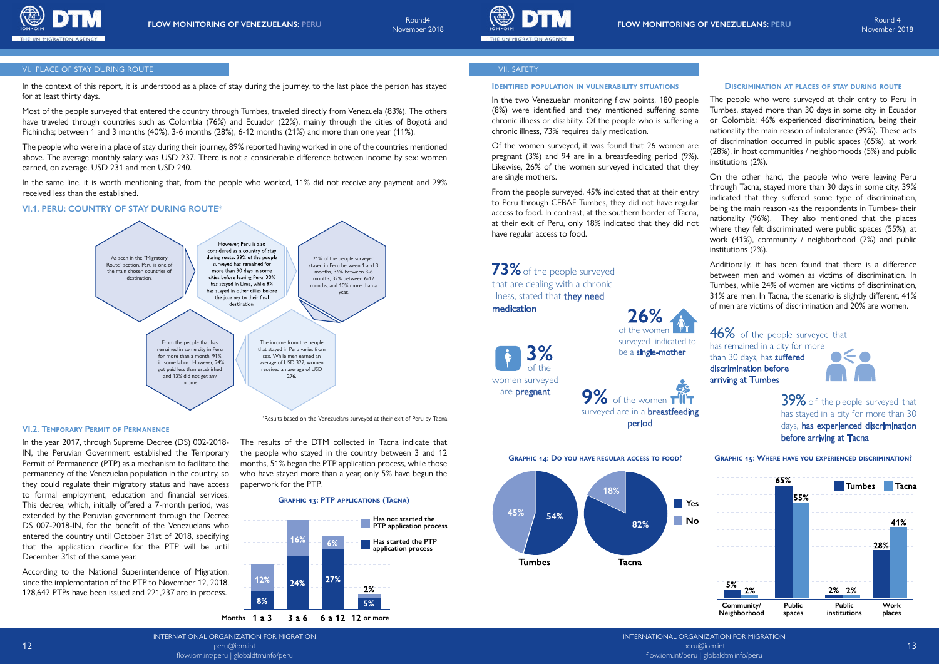

INTERNATIONAL ORGANIZATION FOR MIGRATION peru@iom.int flow.iom.int/peru | globaldtm.info/peru





12

### VI. PLACE OF STAY DURING ROUTE

### **VI.1. PERU: COUNTRY OF STAY DURING ROUTE\***

### **VI.2. Temporary Permit of Permanence**

In the year 2017, through Supreme Decree (DS) 002-2018- IN, the Peruvian Government established the Temporary Permit of Permanence (PTP) as a mechanism to facilitate the permanency of the Venezuelan population in the country, so they could regulate their migratory status and have access to formal employment, education and financial services. This decree, which, initially offered a 7-month period, was extended by the Peruvian government through the Decree DS 007-2018-IN, for the benefit of the Venezuelans who entered the country until October 31st of 2018, specifying that the application deadline for the PTP will be until December 31st of the same year.

According to the National Superintendence of Migration, since the implementation of the PTP to November 12, 2018, 128,642 PTPs have been issued and 221,237 are in process.

# VII. SAFETY

pregnant (3%) and 94 are in a breastfeeding period (9%). Likewise, 26% of the women surveyed indicated that they are single mothers.

In the context of this report, it is understood as a place of stay during the journey, to the last place the person has stayed **DENTIFIED POPULATION IN VULNERABILITY SITUATIONS** DISCRIMINATION AT PLACES OF STAY DURING ROUT for at least thirty days.

In the two Venezuelan monitoring flow points, 180 people (8%) were identified and they mentioned suffering some chronic illness or disability. Of the people who is suffering a chronic illness, 73% requires daily medication. Of the women surveyed, it was found that 26 women are The people who were surveyed at their entry to Peru in Tumbes, stayed more than 30 days in some city in Ecuador or Colombia; 46% experienced discrimination, being their nationality the main reason of intolerance (99%). These acts of discrimination occurred in public spaces (65%), at work (28%), in host communities / neighborhoods (5%) and public institutions (2%).

From the people surveyed, 45% indicated that at their entry to Peru through CEBAF Tumbes, they did not have regular access to food. In contrast, at the southern border of Tacna, at their exit of Peru, only 18% indicated that they did not have regular access to food. On the other hand, the people who were leaving Peru through Tacna, stayed more than 30 days in some city, 39% indicated that they suffered some type of discrimination, being the main reason -as the respondents in Tumbes- their nationality (96%). They also mentioned that the places where they felt discriminated were public spaces (55%), at work (41%), community / neighborhood (2%) and public institutions (2%).

> 39% of the p eople surveyed that has stayed in a city for more than 30 days, has experienced discrimination before arriving at Tacna

73% of the people surveyed that are dealing with a chronic illness, stated that **they need** medication

Additionally, it has been found that there is a difference between men and women as victims of discrimination. In Tumbes, while 24% of women are victims of discrimination, 31% are men. In Tacna, the scenario is slightly different, 41% of men are victims of discrimination and 20% are women.

46% of the people surveyed that has remained in a city for more than 30 days, has suffered  $\bullet$ discrimination before arriving at Tumbes

Most of the people surveyed that entered the country through Tumbes, traveled directly from Venezuela (83%). The others have traveled through countries such as Colombia (76%) and Ecuador (22%), mainly through the cities of Bogotá and Pichincha; between 1 and 3 months (40%), 3-6 months (28%), 6-12 months (21%) and more than one year (11%).

The people who were in a place of stay during their journey, 89% reported having worked in one of the countries mentioned above. The average monthly salary was USD 237. There is not a considerable difference between income by sex: women earned, on average, USD 231 and men USD 240.

In the same line, it is worth mentioning that, from the people who worked, 11% did not receive any payment and 29% received less than the established.

#### **Graphic 13: PTP applications (Tacna)**

The results of the DTM collected in Tacna indicate that the people who stayed in the country between 3 and 12 months, 51% began the PTP application process, while those who have stayed more than a year, only 5% have begun the

paperwork for the PTP.



**Graphic 14: Do you have regular access to food? Graphic 15: Where have you experienced discrimination?**









3% of the women surveyed

are pregnant

9% of the women TIIT surveyed are in a **breastfeeding** 

period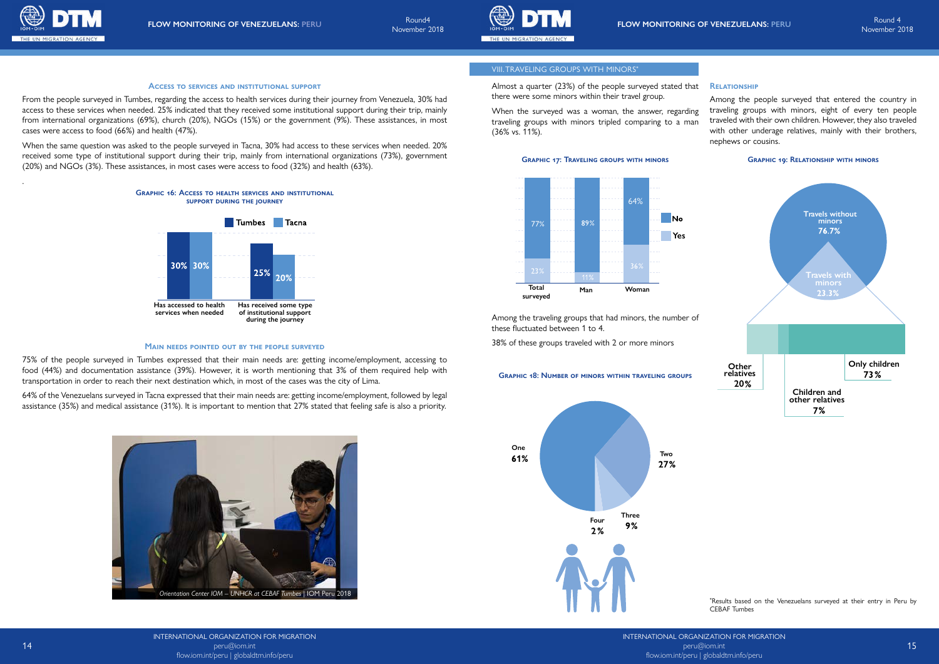INTERNATIONAL ORGANIZATION FOR MIGRATION peru@iom.int flow.iom.int/peru | globaldtm.info/peru





From the people surveyed in Tumbes, regarding the access to health services during their journey from Venezuela, 30% had access to these services when needed. 25% indicated that they received some institutional support during their trip, mainly from international organizations (69%), church (20%), NGOs (15%) or the government (9%). These assistances, in most cases were access to food (66%) and health (47%).

When the same question was asked to the people surveyed in Tacna, 30% had access to these services when needed. 20% received some type of institutional support during their trip, mainly from international organizations (73%), government (20%) and NGOs (3%). These assistances, in most cases were access to food (32%) and health (63%).



.

75% of the people surveyed in Tumbes expressed that their main needs are: getting income/employment, accessing to food (44%) and documentation assistance (39%). However, it is worth mentioning that 3% of them required help with transportation in order to reach their next destination which, in most of the cases was the city of Lima.

64% of the Venezuelans surveyed in Tacna expressed that their main needs are: getting income/employment, followed by legal assistance (35%) and medical assistance (31%). It is important to mention that 27% stated that feeling safe is also a priority.

### **Access to services and institutional support**

#### **Main needs pointed out by the people surveyed**

## VIII.TRAVELING GROUPS WITH MINORS\*

Almost a quarter (23%) of the people surveyed stated that there were some minors within their travel group.

Among the traveling groups that had minors, the number of these fluctuated between 1 to 4.

38% of these groups traveled with 2 or more minors

When the surveyed was a woman, the answer, regarding traveling groups with minors tripled comparing to a man (36% vs. 11%). Among the people surveyed that entered the country in traveling groups with minors, eight of every ten people traveled with their own children. However, they also traveled with other underage relatives, mainly with their brothers, nephews or cousins.



### **Relationship**

#### **Graphic 18: Number of minors within traveling groups**



Results based on the Venezuelans surveyed at their entry in Peru by CEBAF Tumbes





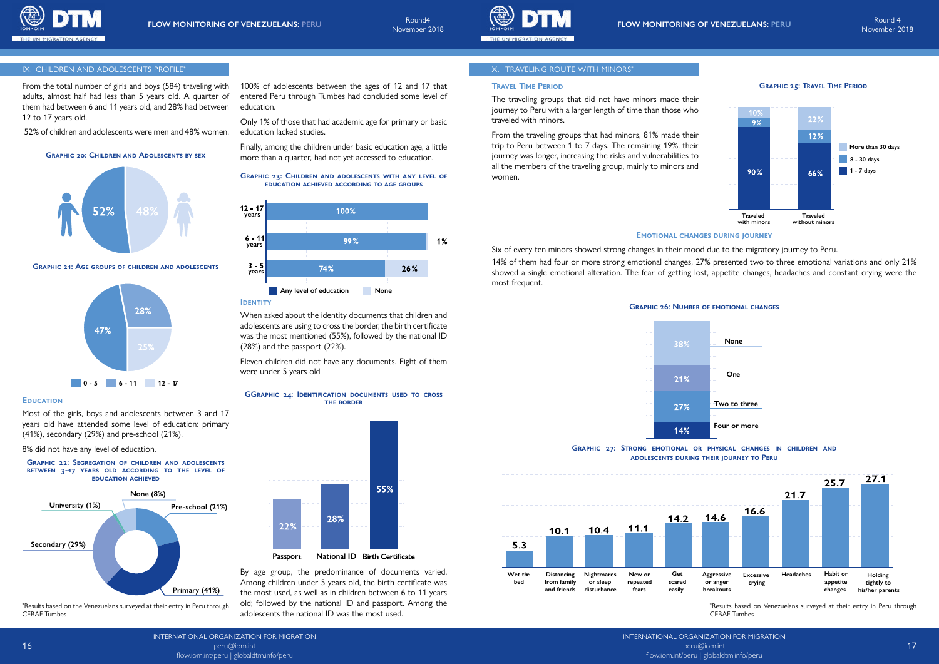

INTERNATIONAL ORGANIZATION FOR MIGRATION peru@iom.int flow.iom.int/peru | globaldtm.info/peru

flow.iom.int/peru | globaldtm.info/peru

November 2018



#### IX. CHILDREN AND ADOLESCENTS PROFILE\* THE SUMMON STATE OF STATE SERVICE OF THE STATE OF STATE OF STATE OF STATE OF STATE OF STATE OF STATE OF STATE OF STATE OF STATE OF STATE OF STATE OF STATE OF STATE OF STATE OF STATE OF

From the total number of girls and boys (584) traveling with adults, almost half had less than 5 years old. A quarter of them had between 6 and 11 years old, and 28% had between 12 to 17 years old.

52% of children and adolescents were men and 48% women.

Most of the girls, boys and adolescents between 3 and 17 years old have attended some level of education: primary (41%), secondary (29%) and pre-school (21%).

8% did not have any level of education.

100% of adolescents between the ages of 12 and 17 that entered Peru through Tumbes had concluded some level of education.

Only 1% of those that had academic age for primary or basic education lacked studies.

Finally, among the children under basic education age, a little more than a quarter, had not yet accessed to education.

#### **Emotional changes during journey**

#### **Travel Time Period**

When asked about the identity documents that children and adolescents are using to cross the border, the birth certificate was the most mentioned (55%), followed by the national ID (28%) and the passport (22%).

Eleven children did not have any documents. Eight of them were under 5 years old

**Graphic 23: Children and adolescents with any level of education achieved according to age groups**



By age group, the predominance of documents varied. Among children under 5 years old, the birth certificate was the most used, as well as in children between 6 to 11 years old; followed by the national ID and passport. Among the adolescents the national ID was the most used.

### **Graphic 20: Children and Adolescents by sex**





**Graphic 22: Segregation of children and adolescents between 3-17 years old according to the level of education achieved**

#### **GGraphic 24: Identification documents used to cross the border**

#### **Graphic 21: Age groups of children and adolescents**

The traveling groups that did not have minors made their journey to Peru with a larger length of time than those who traveled with minors.

From the traveling groups that had minors, 81% made their trip to Peru between 1 to 7 days. The remaining 19%, their journey was longer, increasing the risks and vulnerabilities to all the members of the traveling group, mainly to minors and women.



Six of every ten minors showed strong changes in their mood due to the migratory journey to Peru. 14% of them had four or more strong emotional changes, 27% presented two to three emotional variations and only 21% showed a single emotional alteration. The fear of getting lost, appetite changes, headaches and constant crying were the most frequent.

\* Results based on the Venezuelans surveyed at their entry in Peru through CEBAF Tumbes

\* Results based on Venezuelans surveyed at their entry in Peru through CEBAF Tumbes









#### **EDUCATION**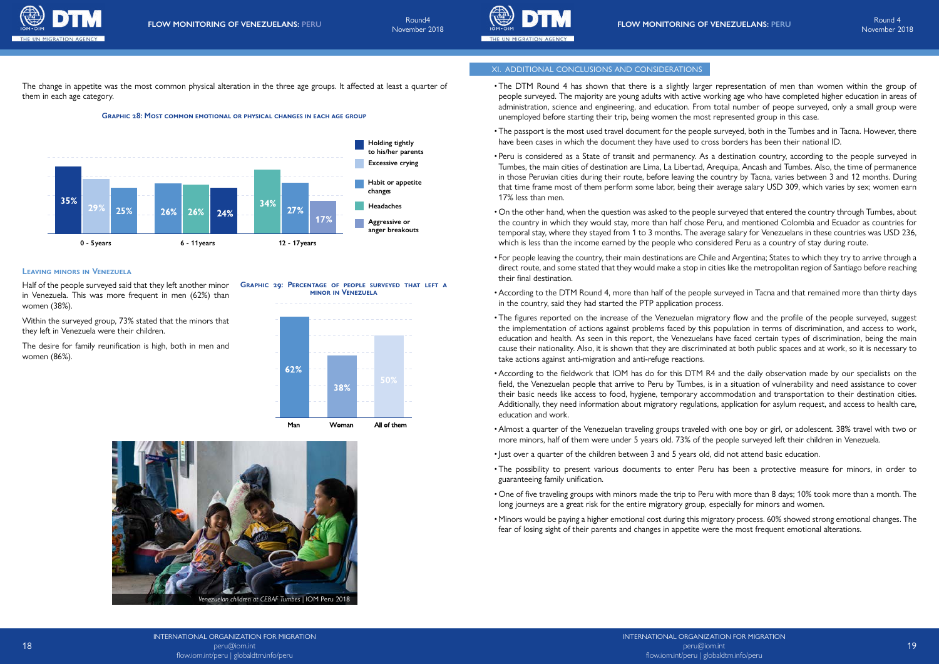



## XI. ADDITIONAL CONCLUSIONS AND CONSIDERATIONS

- •The DTM Round 4 has shown that there is a slightly larger representation of men than women within the group of people surveyed. The majority are young adults with active working age who have completed higher education in areas of administration, science and engineering, and education. From total number of peope surveyed, only a small group were unemployed before starting their trip, being women the most represented group in this case.
- •The passport is the most used travel document for the people surveyed, both in the Tumbes and in Tacna. However, there have been cases in which the document they have used to cross borders has been their national ID.
- Peru is considered as a State of transit and permanency. As a destination country, according to the people surveyed in Tumbes, the main cities of destination are Lima, La Libertad, Arequipa, Ancash and Tumbes. Also, the time of permanence in those Peruvian cities during their route, before leaving the country by Tacna, varies between 3 and 12 months. During that time frame most of them perform some labor, being their average salary USD 309, which varies by sex; women earn 17% less than men.
- On the other hand, when the question was asked to the people surveyed that entered the country through Tumbes, about the country in which they would stay, more than half chose Peru, and mentioned Colombia and Ecuador as countries for temporal stay, where they stayed from 1 to 3 months. The average salary for Venezuelans in these countries was USD 236, which is less than the income earned by the people who considered Peru as a country of stay during route.
- For people leaving the country, their main destinations are Chile and Argentina; States to which they try to arrive through a direct route, and some stated that they would make a stop in cities like the metropolitan region of Santiago before reaching their final destination.
- •According to the DTM Round 4, more than half of the people surveyed in Tacna and that remained more than thirty days in the country, said they had started the PTP application process.
- •The figures reported on the increase of the Venezuelan migratory flow and the profile of the people surveyed, suggest the implementation of actions against problems faced by this population in terms of discrimination, and access to work, education and health. As seen in this report, the Venezuelans have faced certain types of discrimination, being the main cause their nationality. Also, it is shown that they are discriminated at both public spaces and at work, so it is necessary to take actions against anti-migration and anti-refuge reactions.
- •According to the fieldwork that IOM has do for this DTM R4 and the daily observation made by our specialists on the field, the Venezuelan people that arrive to Peru by Tumbes, is in a situation of vulnerability and need assistance to cover their basic needs like access to food, hygiene, temporary accommodation and transportation to their destination cities. Additionally, they need information about migratory regulations, application for asylum request, and access to health care, education and work.
- •Almost a quarter of the Venezuelan traveling groups traveled with one boy or girl, or adolescent. 38% travel with two or more minors, half of them were under 5 years old. 73% of the people surveyed left their children in Venezuela.
- •Just over a quarter of the children between 3 and 5 years old, did not attend basic education.
- •The possibility to present various documents to enter Peru has been a protective measure for minors, in order to guaranteeing family unification.
- One of five traveling groups with minors made the trip to Peru with more than 8 days; 10% took more than a month. The long journeys are a great risk for the entire migratory group, especially for minors and women.
- •Minors would be paying a higher emotional cost during this migratory process. 60% showed strong emotional changes. The fear of losing sight of their parents and changes in appetite were the most frequent emotional alterations.

Half of the people surveyed said that they left another minor in Venezuela. This was more frequent in men (62%) than women (38%)

### **Graphic 28: Most common emotional or physical changes in each age group**



Within the surveyed group, 73% stated that the minors that they left in Venezuela were their children.

The desire for family reunification is high, both in men and women (86%).



# **Leaving minors in Venezuela**

**Graphic 29: Percentage of people surveyed that left a minor in Venezuela**